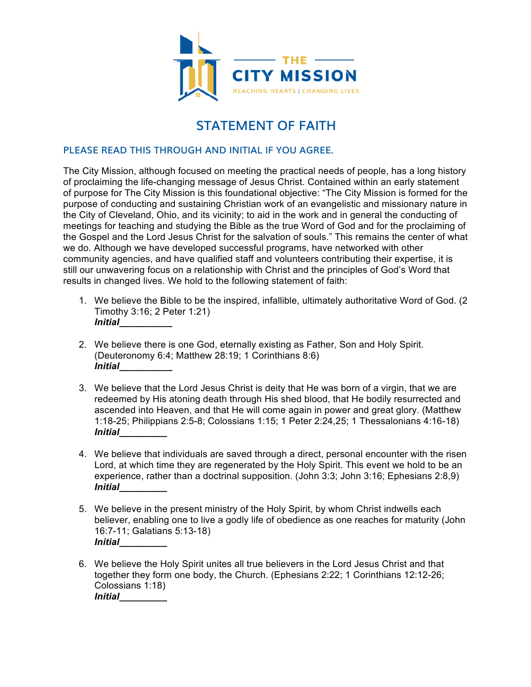

## **STATEMENT OF FAITH**

#### **PLEASE READ THIS THROUGH AND INITIAL IF YOU AGREE.**

The City Mission, although focused on meeting the practical needs of people, has a long history of proclaiming the life-changing message of Jesus Christ. Contained within an early statement of purpose for The City Mission is this foundational objective: "The City Mission is formed for the purpose of conducting and sustaining Christian work of an evangelistic and missionary nature in the City of Cleveland, Ohio, and its vicinity; to aid in the work and in general the conducting of meetings for teaching and studying the Bible as the true Word of God and for the proclaiming of the Gospel and the Lord Jesus Christ for the salvation of souls." This remains the center of what we do. Although we have developed successful programs, have networked with other community agencies, and have qualified staff and volunteers contributing their expertise, it is still our unwavering focus on a relationship with Christ and the principles of God's Word that results in changed lives. We hold to the following statement of faith:

- 1. We believe the Bible to be the inspired, infallible, ultimately authoritative Word of God. (2 Timothy 3:16; 2 Peter 1:21) *Initial\_\_\_\_\_\_\_\_\_\_*
- 2. We believe there is one God, eternally existing as Father, Son and Holy Spirit. (Deuteronomy 6:4; Matthew 28:19; 1 Corinthians 8:6) *Initial\_\_\_\_\_\_\_\_\_\_*
- 3. We believe that the Lord Jesus Christ is deity that He was born of a virgin, that we are redeemed by His atoning death through His shed blood, that He bodily resurrected and ascended into Heaven, and that He will come again in power and great glory. (Matthew 1:18-25; Philippians 2:5-8; Colossians 1:15; 1 Peter 2:24,25; 1 Thessalonians 4:16-18) *Initial\_\_\_\_\_\_\_\_\_*
- 4. We believe that individuals are saved through a direct, personal encounter with the risen Lord, at which time they are regenerated by the Holy Spirit. This event we hold to be an experience, rather than a doctrinal supposition. (John 3:3; John 3:16; Ephesians 2:8,9) *Initial\_\_\_\_\_\_\_\_\_*
- 5. We believe in the present ministry of the Holy Spirit, by whom Christ indwells each believer, enabling one to live a godly life of obedience as one reaches for maturity (John 16:7-11; Galatians 5:13-18) *Initial\_\_\_\_\_\_\_\_\_*
- 6. We believe the Holy Spirit unites all true believers in the Lord Jesus Christ and that together they form one body, the Church. (Ephesians 2:22; 1 Corinthians 12:12-26; Colossians 1:18) *Initial\_\_\_\_\_\_\_\_\_*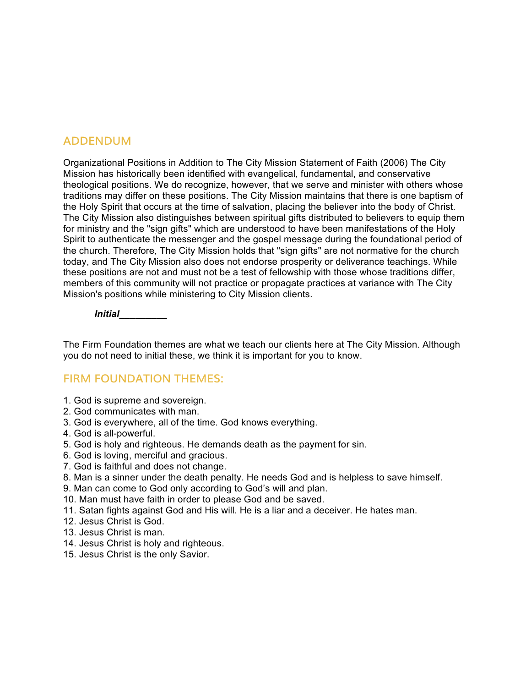#### **ADDENDUM**

Organizational Positions in Addition to The City Mission Statement of Faith (2006) The City Mission has historically been identified with evangelical, fundamental, and conservative theological positions. We do recognize, however, that we serve and minister with others whose traditions may differ on these positions. The City Mission maintains that there is one baptism of the Holy Spirit that occurs at the time of salvation, placing the believer into the body of Christ. The City Mission also distinguishes between spiritual gifts distributed to believers to equip them for ministry and the "sign gifts" which are understood to have been manifestations of the Holy Spirit to authenticate the messenger and the gospel message during the foundational period of the church. Therefore, The City Mission holds that "sign gifts" are not normative for the church today, and The City Mission also does not endorse prosperity or deliverance teachings. While these positions are not and must not be a test of fellowship with those whose traditions differ, members of this community will not practice or propagate practices at variance with The City Mission's positions while ministering to City Mission clients.

*Initial\_\_\_\_\_\_\_\_\_*

The Firm Foundation themes are what we teach our clients here at The City Mission. Although you do not need to initial these, we think it is important for you to know.

### **FIRM FOUNDATION THEMES:**

- 1. God is supreme and sovereign.
- 2. God communicates with man.
- 3. God is everywhere, all of the time. God knows everything.
- 4. God is all-powerful.
- 5. God is holy and righteous. He demands death as the payment for sin.
- 6. God is loving, merciful and gracious.
- 7. God is faithful and does not change.
- 8. Man is a sinner under the death penalty. He needs God and is helpless to save himself.
- 9. Man can come to God only according to God's will and plan.
- 10. Man must have faith in order to please God and be saved.
- 11. Satan fights against God and His will. He is a liar and a deceiver. He hates man.
- 12. Jesus Christ is God.
- 13. Jesus Christ is man.
- 14. Jesus Christ is holy and righteous.
- 15. Jesus Christ is the only Savior.